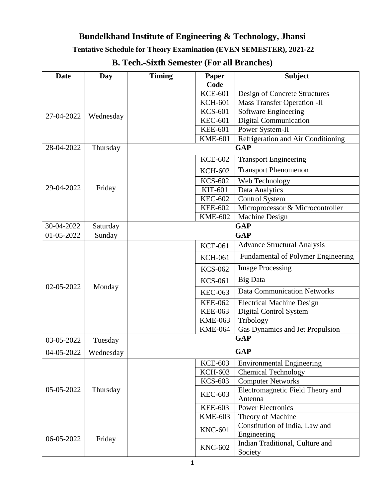### **Tentative Schedule for Theory Examination (EVEN SEMESTER), 2021-22**

| <b>Date</b> | <b>Day</b>             | <b>Timing</b>  | <b>Subject</b><br><b>Paper</b> |                                                              |                                  |
|-------------|------------------------|----------------|--------------------------------|--------------------------------------------------------------|----------------------------------|
|             |                        |                | <b>Code</b><br><b>KCE-601</b>  |                                                              |                                  |
| 27-04-2022  |                        |                | <b>KCH-601</b>                 | Design of Concrete Structures<br>Mass Transfer Operation -II |                                  |
|             |                        |                | <b>KCS-601</b>                 | Software Engineering                                         |                                  |
|             | Wednesday              |                | <b>KEC-601</b>                 | <b>Digital Communication</b>                                 |                                  |
|             |                        |                | <b>KEE-601</b>                 | Power System-II                                              |                                  |
|             |                        |                | <b>KME-601</b>                 | Refrigeration and Air Conditioning                           |                                  |
| 28-04-2022  | Thursday               |                |                                | <b>GAP</b>                                                   |                                  |
|             |                        |                | <b>KCE-602</b>                 | <b>Transport Engineering</b>                                 |                                  |
|             |                        |                | <b>KCH-602</b>                 | <b>Transport Phenomenon</b>                                  |                                  |
|             |                        |                | <b>KCS-602</b>                 | Web Technology                                               |                                  |
| 29-04-2022  | Friday                 |                | KIT-601                        | Data Analytics                                               |                                  |
|             |                        |                | <b>KEC-602</b>                 | <b>Control System</b>                                        |                                  |
|             |                        |                | <b>KEE-602</b>                 | Microprocessor & Microcontroller                             |                                  |
|             |                        |                | <b>KME-602</b>                 | <b>Machine Design</b>                                        |                                  |
| 30-04-2022  | Saturday               | <b>GAP</b>     |                                |                                                              |                                  |
| 01-05-2022  | Sunday                 | <b>GAP</b>     |                                |                                                              |                                  |
|             | Monday                 |                | <b>KCE-061</b>                 | <b>Advance Structural Analysis</b>                           |                                  |
|             |                        |                | <b>KCH-061</b>                 | Fundamental of Polymer Engineering                           |                                  |
|             |                        |                | <b>KCS-062</b>                 | <b>Image Processing</b>                                      |                                  |
| 02-05-2022  |                        |                | <b>KCS-061</b>                 | <b>Big Data</b>                                              |                                  |
|             |                        |                | <b>KEC-063</b>                 | <b>Data Communication Networks</b>                           |                                  |
|             |                        |                | <b>KEE-062</b>                 | <b>Electrical Machine Design</b>                             |                                  |
|             |                        |                | <b>KEE-063</b>                 | Digital Control System                                       |                                  |
|             |                        |                | <b>KME-063</b>                 | Tribology                                                    |                                  |
|             |                        |                | <b>KME-064</b>                 | Gas Dynamics and Jet Propulsion                              |                                  |
| 03-05-2022  | Tuesday                |                | <b>GAP</b>                     |                                                              |                                  |
|             | 04-05-2022   Wednesday |                | <b>GAP</b>                     |                                                              |                                  |
|             | Thursday               |                |                                | <b>KCE-603</b>                                               | <b>Environmental Engineering</b> |
|             |                        |                | <b>KCH-603</b>                 | <b>Chemical Technology</b>                                   |                                  |
| 05-05-2022  |                        |                | <b>KCS-603</b>                 | <b>Computer Networks</b>                                     |                                  |
|             |                        |                | <b>KEC-603</b>                 | Electromagnetic Field Theory and<br>Antenna                  |                                  |
|             |                        |                | <b>KEE-603</b>                 | <b>Power Electronics</b>                                     |                                  |
|             |                        |                | <b>KME-603</b>                 | Theory of Machine                                            |                                  |
| 06-05-2022  | Friday                 | <b>KNC-601</b> | Constitution of India, Law and |                                                              |                                  |
|             |                        |                |                                | Engineering                                                  |                                  |
|             |                        |                | <b>KNC-602</b>                 | Indian Traditional, Culture and<br>Society                   |                                  |

## **B. Tech.-Sixth Semester (For all Branches)**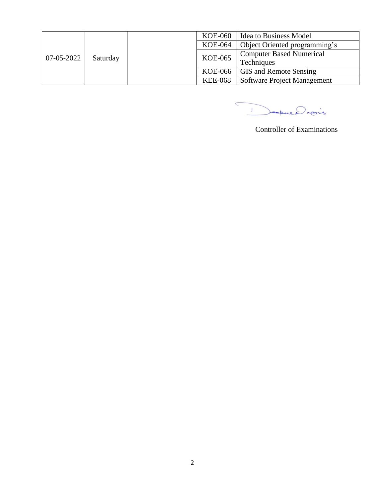| 07-05-2022 | Saturday |  | KOE-060        | <b>Idea to Business Model</b>   |
|------------|----------|--|----------------|---------------------------------|
|            |          |  | <b>KOE-064</b> | Object Oriented programming's   |
|            |          |  | <b>KOE-065</b> | <b>Computer Based Numerical</b> |
|            |          |  |                | Techniques                      |
|            |          |  | KOE-066        | <b>GIS</b> and Remote Sensing   |
|            |          |  | <b>KEE-068</b> | Software Project Management     |

Depuis

Controller of Examinations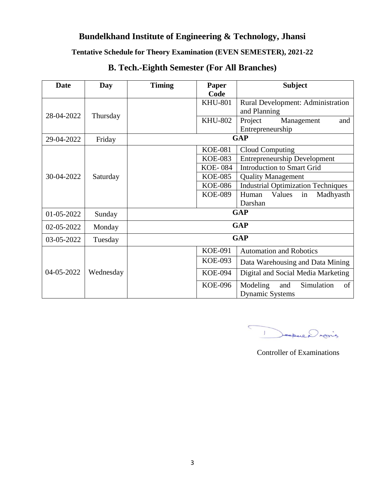#### **Tentative Schedule for Theory Examination (EVEN SEMESTER), 2021-22**

| <b>Date</b> | Day       | <b>Timing</b> | <b>Paper</b>   | <b>Subject</b>                            |  |
|-------------|-----------|---------------|----------------|-------------------------------------------|--|
|             |           |               | Code           |                                           |  |
| 28-04-2022  | Thursday  |               | <b>KHU-801</b> | Rural Development: Administration         |  |
|             |           |               |                | and Planning                              |  |
|             |           |               | <b>KHU-802</b> | Project<br>Management<br>and              |  |
|             |           |               |                | Entrepreneurship                          |  |
| 29-04-2022  | Friday    | <b>GAP</b>    |                |                                           |  |
|             |           |               | <b>KOE-081</b> | <b>Cloud Computing</b>                    |  |
|             |           |               | <b>KOE-083</b> | <b>Entrepreneurship Development</b>       |  |
| 30-04-2022  | Saturday  |               | <b>KOE-084</b> | <b>Introduction to Smart Grid</b>         |  |
|             |           |               | <b>KOE-085</b> | <b>Quality Management</b>                 |  |
|             |           |               | <b>KOE-086</b> | <b>Industrial Optimization Techniques</b> |  |
|             |           |               | <b>KOE-089</b> | Values<br>Madhyasth<br>Human<br>in        |  |
|             |           |               |                | Darshan                                   |  |
| 01-05-2022  | Sunday    | <b>GAP</b>    |                |                                           |  |
| 02-05-2022  | Monday    | <b>GAP</b>    |                |                                           |  |
| 03-05-2022  | Tuesday   | <b>GAP</b>    |                |                                           |  |
| 04-05-2022  | Wednesday |               | <b>KOE-091</b> | <b>Automation and Robotics</b>            |  |
|             |           |               | <b>KOE-093</b> | Data Warehousing and Data Mining          |  |
|             |           |               | <b>KOE-094</b> | Digital and Social Media Marketing        |  |
|             |           |               | <b>KOE-096</b> | Simulation<br>Modeling<br>of<br>and       |  |
|             |           |               |                | <b>Dynamic Systems</b>                    |  |

# **B. Tech.-Eighth Semester (For All Branches)**

 $\subset$ 1 Deepere Drains

Controller of Examinations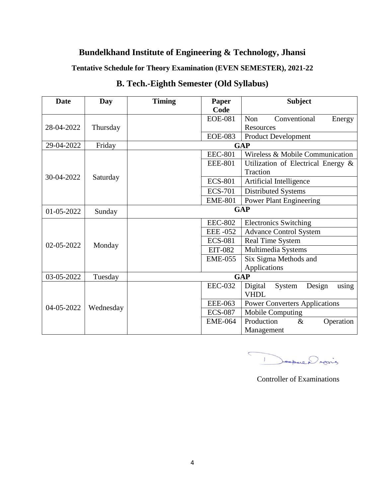**Tentative Schedule for Theory Examination (EVEN SEMESTER), 2021-22**

| <b>Date</b> | <b>Day</b> | <b>Timing</b> | Paper          | <b>Subject</b>                       |  |
|-------------|------------|---------------|----------------|--------------------------------------|--|
|             |            |               | Code           |                                      |  |
| 28-04-2022  | Thursday   |               | <b>EOE-081</b> | Non<br>Conventional<br>Energy        |  |
|             |            |               |                | Resources                            |  |
|             |            |               | <b>EOE-083</b> | <b>Product Development</b>           |  |
| 29-04-2022  | Friday     | <b>GAP</b>    |                |                                      |  |
|             | Saturday   |               | <b>EEC-801</b> | Wireless & Mobile Communication      |  |
|             |            |               | <b>EEE-801</b> | Utilization of Electrical Energy &   |  |
|             |            |               |                | Traction                             |  |
| 30-04-2022  |            |               | <b>ECS-801</b> | Artificial Intelligence              |  |
|             |            |               | <b>ECS-701</b> | Distributed Systems                  |  |
|             |            |               | <b>EME-801</b> | <b>Power Plant Engineering</b>       |  |
| 01-05-2022  | Sunday     | <b>GAP</b>    |                |                                      |  |
|             | Monday     |               | <b>EEC-802</b> | <b>Electronics Switching</b>         |  |
|             |            |               | <b>EEE-052</b> | <b>Advance Control System</b>        |  |
| 02-05-2022  |            |               | <b>ECS-081</b> | Real Time System                     |  |
|             |            |               | <b>EIT-082</b> | Multimedia Systems                   |  |
|             |            |               | <b>EME-055</b> | Six Sigma Methods and                |  |
|             |            |               |                | Applications                         |  |
| 03-05-2022  | Tuesday    | <b>GAP</b>    |                |                                      |  |
| 04-05-2022  | Wednesday  |               | <b>EEC-032</b> | Digital<br>Design<br>System<br>using |  |
|             |            |               |                | <b>VHDL</b>                          |  |
|             |            |               | <b>EEE-063</b> | <b>Power Converters Applications</b> |  |
|             |            |               | <b>ECS-087</b> | Mobile Computing                     |  |
|             |            |               | <b>EME-064</b> | Production<br>$\&$<br>Operation      |  |
|             |            |               |                | Management                           |  |

## **B. Tech.-Eighth Semester (Old Syllabus)**

 $\overline{C}$ Jeopue Drains  $\mathbf{T}$ 

Controller of Examinations